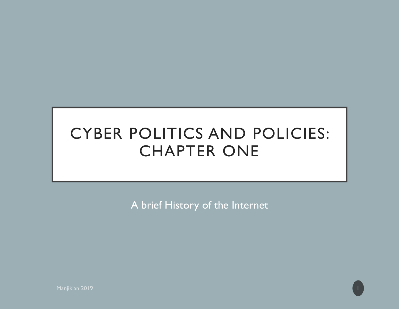#### CYBER POLITICS AND POLICIES: CHAPTER ONE

A brief History of the Internet

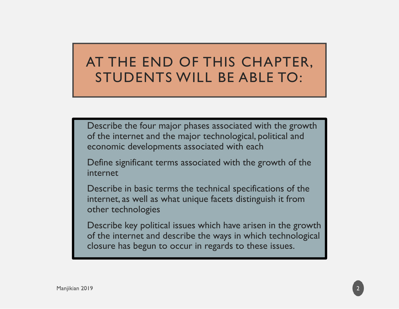#### AT THE END OF THIS CHAPTER, STUDENTS WILL BE ABLE TO:

 Describe the four major phases associated with the growth of the internet and the major technological, political and economic developments associated with each

 Define significant terms associated with the growth of the internet

 Describe in basic terms the technical specifications of the internet, as well as what unique facets distinguish it from other technologies

 Describe key political issues which have arisen in the growth of the internet and describe the ways in which technological closure has begun to occur in regards to these issues.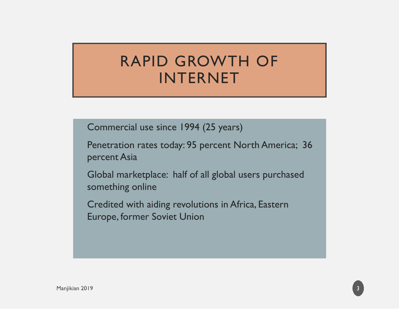#### RAPID GROWTH OF INTERNET

Commercial use since 1994 (25 years)

 Penetration rates today: 95 percent North America; 36 percent Asia

 Global marketplace: half of all global users purchased something online

 Credited with aiding revolutions in Africa, Eastern Europe, former Soviet Union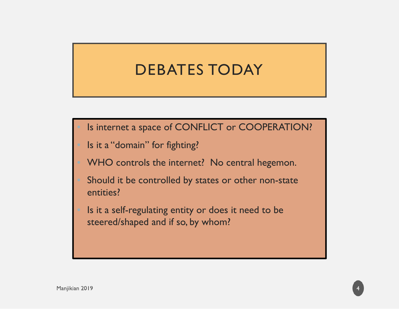#### DEBATES TODAY

Is internet a space of CONFLICT or COOPERATION?

Is it a "domain" for fighting?

WHO controls the internet? No central hegemon.

 Should it be controlled by states or other non-state entities?

 Is it a self-regulating entity or does it need to be steered/shaped and if so, by whom?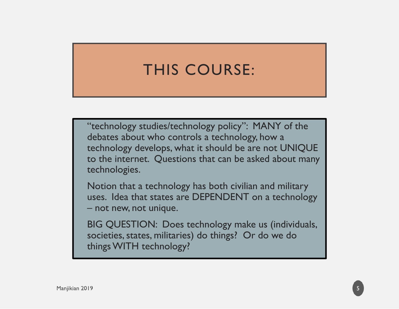# THIS COURSE:

 "technology studies/technology policy": MANY of the debates about who controls a technology, how a technology develops, what it should be are not UNIQUE to the internet. Questions that can be asked about many technologies.

 Notion that a technology has both civilian and military uses. Idea that states are DEPENDENT on a technology – not new, not unique.

 BIG QUESTION: Does technology make us (individuals, societies, states, militaries) do things? Or do we do things WITH technology?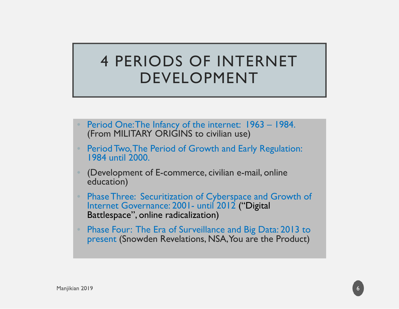#### 4 PERIODS OF INTERNET DEVELOPMENT

- Period One: The Infancy of the internet: 1963 1984. (From MILITARY ORIGINS to civilian use)
- • Period Two, The Period of Growth and Early Regulation: 1984 until 2000.
- (Development of E-commerce, civilian e-mail, online education)
- Phase Three: Securitization of Cyberspace and Growth of Internet Governance: 2001- until 2012 ("Digital Battlespace", online radicalization)
- Phase Four: The Era of Surveillance and Big Data: 2013 to present (Snowden Revelations, NSA, You are the Product)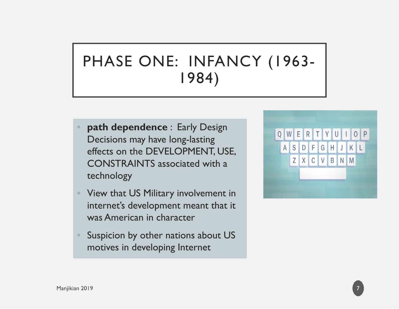# PHASE ONE: INFANCY (1963- 1984)

- **path dependence** : Early Design Decisions may have long-lasting effects on the DEVELOPMENT, USE, CONSTRAINTS associated with a technology
- View that US Military involvement in internet's development meant that it was American in character
- • Suspicion by other nations about US motives in developing Internet



7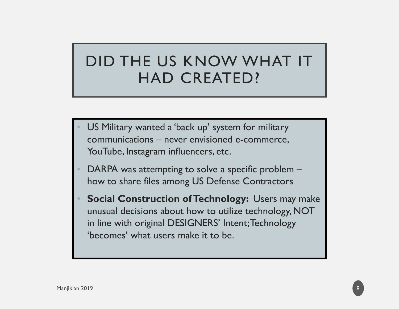# DID THE US KNOW WHAT IT HAD CREATED?

- US Military wanted a 'back up' system for military communications – never envisioned e-commerce, YouTube, Instagram influencers, etc.
- DARPA was attempting to solve a specific problem how to share files among US Defense Contractors
- $\bullet$ **Social Construction of Technology: Users may make** unusual decisions about how to utilize technology, NOT in line with original DESIGNERS' Intent; Technology 'becomes' what users make it to be.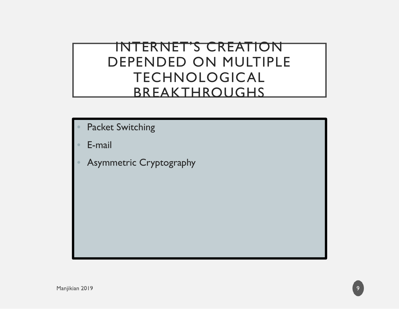#### INTERNET'S CREATION DEPENDED ON MULTIPLE TECHNOLOGICAL BREAKTHROUGHS

- Packet Switching
- E-mail
- $\bullet$ Asymmetric Cryptography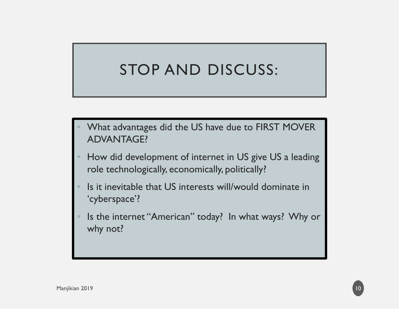## STOP AND DISCUSS:

- What advantages did the US have due to FIRST MOVER ADVANTAGE?
- How did development of internet in US give US a leading role technologically, economically, politically?
- $\bullet$  Is it inevitable that US interests will/would dominate in 'cyberspace'?
- $\bullet$  Is the internet "American" today? In what ways? Why or why not?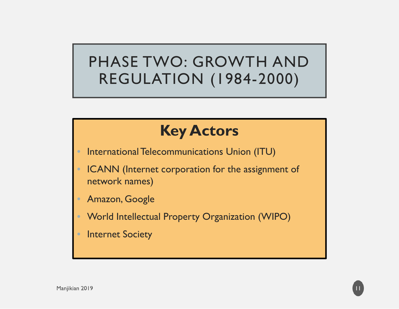## PHASE TWO: GROWTH AND REGULATION (1984-2000)

# **Key Actors**

- $\bullet$ International Telecommunications Union (ITU)
- ICANN (Internet corporation for the assignment of network names)
- $\bullet$ Amazon, Google
- $\bigcirc$ World Intellectual Property Organization (WIPO)

11

**Internet Society**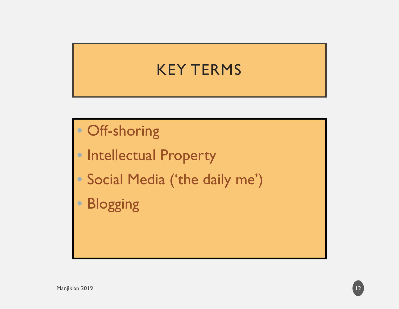# KEY TERMS

- Off-shoring
- Intellectual Property
- Social Media ('the daily me')
- $\bigcirc$ Blogging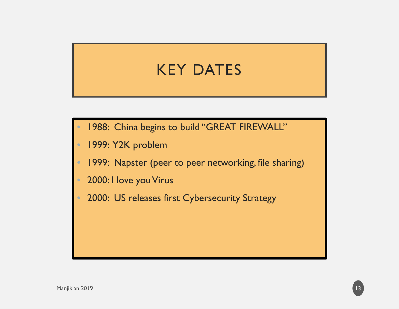## KEY DATES

- 1988: China begins to build "GREAT FIREWALL"
- 1999: Y2K problem
- $\bullet$ 1999: Napster (peer to peer networking, file sharing)
- $\textcolor{red}{\bullet}$ 2000: I love you Virus
- $\bullet$ 2000: US releases first Cybersecurity Strategy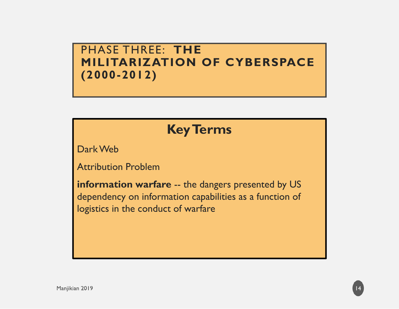#### PHASE THREE: **THE MILITARIZATION OF CYBERSPACE (2000-2012)**

#### **Key Terms**

Dark Web

Attribution Problem

**information warfare** -- the dangers presented by US dependency on information capabilities as a function of logistics in the conduct of warfare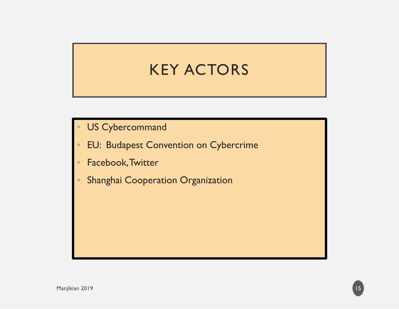## KEY ACTORS

- $\bullet$ US Cybercommand
- •EU: Budapest Convention on Cybercrime
- •Facebook, Twitter
- •Shanghai Cooperation Organization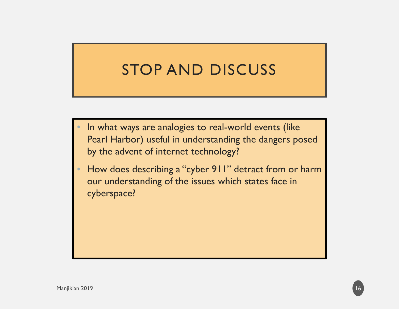## STOP AND DISCUSS

- $\bullet$  In what ways are analogies to real-world events (like Pearl Harbor) useful in understanding the dangers posed by the advent of internet technology?
- $\bullet$  How does describing a "cyber 911" detract from or harm our understanding of the issues which states face in cyberspace?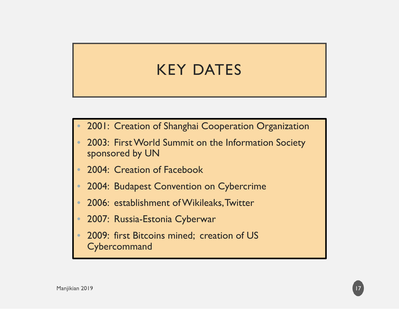# KEY DATES

- $\bullet$ 2001: Creation of Shanghai Cooperation Organization
- $\bullet$  2003: First World Summit on the Information Society sponsored by UN
- $\bullet$ 2004: Creation of Facebook
- $\bullet$ 2004: Budapest Convention on Cybercrime
- $\bullet$ 2006: establishment of Wikileaks, Twitter
- $\bullet$ 2007: Russia-Estonia Cyberwar
- $\bullet$  2009: first Bitcoins mined; creation of US **Cybercommand**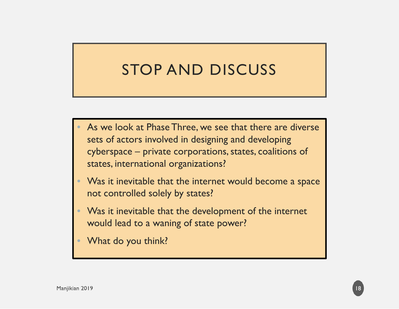## STOP AND DISCUSS

- $\bullet$ As we look at Phase Three, we see that there are diverse sets of actors involved in designing and developing cyberspace – private corporations, states, coalitions of states, international organizations?
- $\bullet$ Was it inevitable that the internet would become a space not controlled solely by states?
- $\bullet$  Was it inevitable that the development of the internet would lead to a waning of state power?
- $\bullet$ What do you think?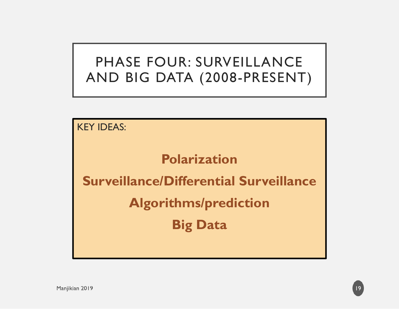#### PHASE FOUR: SURVEILLANCE AND BIG DATA (2008-PRESENT)

KEY IDEAS:

#### **Polarization**

**Surveillance/Differential Surveillance**

**Algorithms/prediction**

**Big Data**